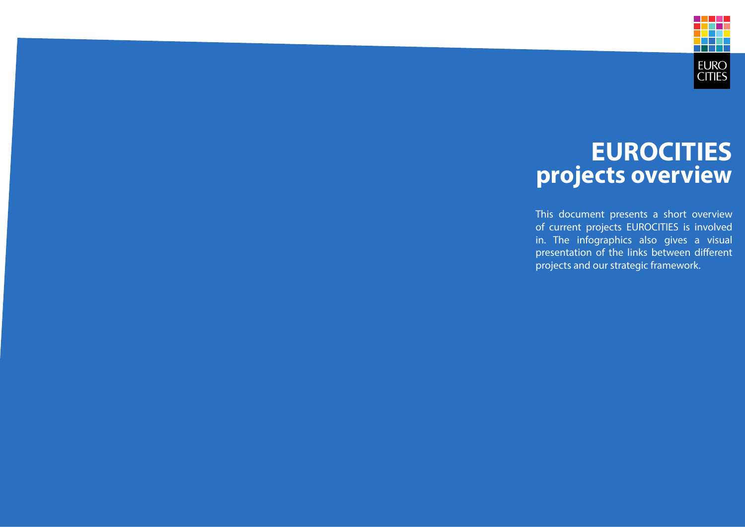

# **EUROCITIES projects overview**

This document presents a short overview of current projects EUROCITIES is involved in. The infographics also gives a visual presentation of the links between different projects and our strategic framework.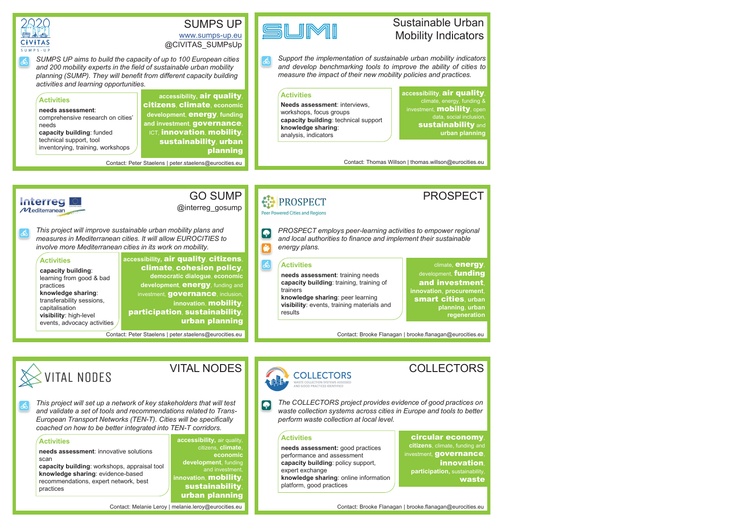| <b>CiviTAS</b><br>SUMPS-UP                                                                                                                                                                                                                                            | SUMPS UP<br>www.sumps-up.eu<br>@CIVITAS SUMPsUp                                                                                                                                              |    | SL                                                                                                                                                                                                            | Sustainable Urban<br><b>Mobility Indicators</b>                                                                                                                           |
|-----------------------------------------------------------------------------------------------------------------------------------------------------------------------------------------------------------------------------------------------------------------------|----------------------------------------------------------------------------------------------------------------------------------------------------------------------------------------------|----|---------------------------------------------------------------------------------------------------------------------------------------------------------------------------------------------------------------|---------------------------------------------------------------------------------------------------------------------------------------------------------------------------|
| SUMPS UP aims to build the capacity of up to 100 European cities<br>$\bullet$<br>and 200 mobility experts in the field of sustainable urban mobility<br>planning (SUMP). They will benefit from different capacity building<br>activities and learning opportunities. |                                                                                                                                                                                              | 66 | Support the implementation of sustainable urban mobility indicators<br>and develop benchmarking tools to improve the ability of cities to<br>measure the impact of their new mobility policies and practices. |                                                                                                                                                                           |
| <b>Activities</b><br>needs assessment:<br>comprehensive research on cities'<br>needs<br>capacity building: funded<br>technical support, tool<br>inventorying, training, workshops                                                                                     | accessibility, air quality,<br>citizens, climate, economic<br>development, energy, funding<br>and investment, governance,<br>ICT, innovation, mobility,<br>sustainability, urban<br>planning |    | <b>Activities</b><br>Needs assessment: interviews,<br>workshops, focus groups<br>capacity building: technical support<br>knowledge sharing:<br>analysis, indicators                                           | accessibility, air quality,<br>climate, energy, funding &<br>investment, <b>mobility</b> , open<br>data, social inclusion,<br><b>sustainability and</b><br>urban planning |
| Contact: Peter Staelens   peter.staelens@eurocities.eu                                                                                                                                                                                                                |                                                                                                                                                                                              |    | Contact: Thomas Willson   thomas.willson@eurocities.eu                                                                                                                                                        |                                                                                                                                                                           |
|                                                                                                                                                                                                                                                                       |                                                                                                                                                                                              |    |                                                                                                                                                                                                               |                                                                                                                                                                           |
| <b>Interreg</b><br>$\mathcal M$ editerranean                                                                                                                                                                                                                          | <b>GO SUMP</b><br>@interreg gosump                                                                                                                                                           |    | <b>PROSPECT</b>                                                                                                                                                                                               | <b>PROSPECT</b>                                                                                                                                                           |

*This project will improve sustainable urban mobility plans and measures in Mediterranean cities. It will allow EUROCITIES to involve more Mediterranean cities in its work on mobility.*

**Activities capacity building**: learning from good & bad practices **knowledge sharing**: transferability sessions, capitalisation **visibility**: high-level events, advocacy activities **accessibility,** air quality, citizens, climate, cohesion policy, **democratic dialogue**, **economic development, energy, funding and** investment, **governance**, inclusion **innovation**, mobility, participation, sustainability, urban planning

Contact: Peter Staelens | peter.staelens@eurocities.eu

Peer Powered Cities and Regions

 $\delta$ 

*PROSPECT employs peer-learning activities to empower regional*   $\overline{\mathbf{P}}$ *and local authorities to finance and implement their sustainable*  Ċ *energy plans.* 

**Activities needs assessment**: training needs **capacity building**: training, training of trainers **knowledge sharing**: peer learning **visibility**: events, training materials and results

climate, **energy** development. funding and investment, **innovation**, **procurement**, smart cities, **urban planning**, **urban regeneration**

Contact: Brooke Flanagan | brooke.flanagan@eurocities.eu



*This project will set up a network of key stakeholders that will test*   $66$ *and validate a set of tools and recommendations related to Trans-European Transport Networks (TEN-T). Cities will be specifically coached on how to be better integrated into TEN-T corridors.*

### **Activities**

**needs assessment**: innovative solutions scan **capacity building**: workshops, appraisal tool

**knowledge sharing**: evidence-based recommendations, expert network, best practices

**accessibility,** air quality, citizens, **climate**,

**economic development**, funding and investment **innovation**, mobility, sustainability, urban planning

Contact: Melanie Leroy | melanie.leroy@eurocities.eu

VITAL NODES



COLLECTORS

*The COLLECTORS project provides evidence of good practices on*   $\boldsymbol{\Omega}$ *waste collection systems across cities in Europe and tools to better perform waste collection at local level.*

## **Activities**

**needs assessment:** good practices performance and assessment **capacity building**: policy support, expert exchange **knowledge sharing**: online information platform, good practices

## circular economy, **citizens**, climate, funding and nvestment, **governance**, innovation, **participation,** sustainability, waste

Contact: Brooke Flanagan | brooke.flanagan@eurocities.eu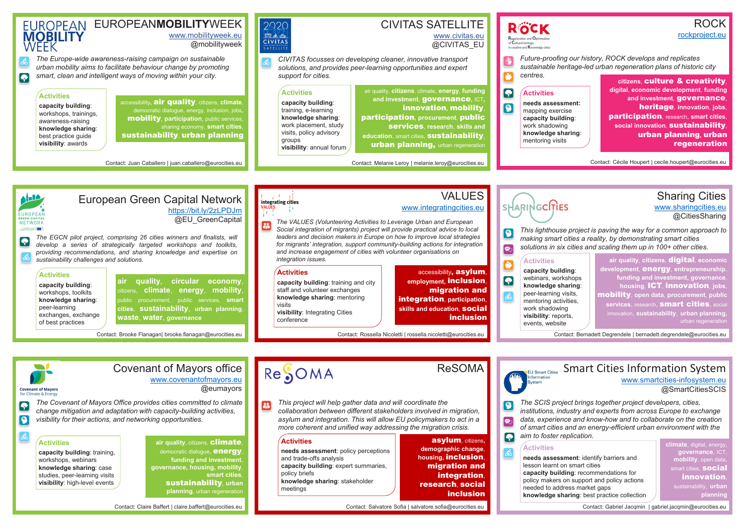